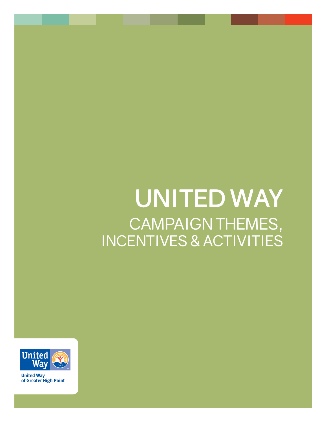# **UNITED WAY** CAMPAIGN THEMES, INCENTIVES & ACTIVITIES



**United Way** of Greater High Point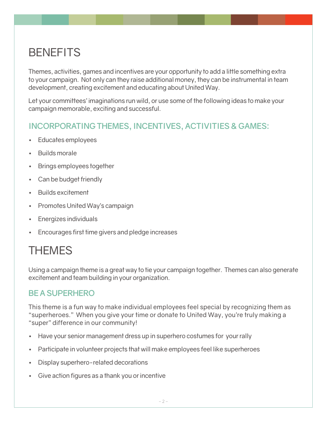### **BENEFITS**

Themes, activities, games and incentives are your opportunity to add a little something extra to your campaign. Not only can they raise additional money, they can be instrumental in team development, creating excitement and educating about United Way.

Let your committees' imaginations run wild, or use some of the following ideas to make your campaign memorable, exciting and successful.

#### **INCORPORATING THEMES, INCENTIVES, ACTIVITIES & GAMES:**

- • Educates employees
- **Builds morale**
- **Brings employees together**
- Can be budget friendly
- **Builds excitement**
- **Promotes United Way's campaign**
- **Energizes individuals**
- Encourages first time givers and pledge increases

### THEMES

Using a campaign theme is a great way to tie your campaign together. Themes can also generate excitement and team building in your organization.

#### **BE A SUPERHERO**

This theme is a fun way to make individual employees feel special by recognizing them as "superheroes." When you give your time or donate to United Way, you're truly making a "super" difference in our community!

- Have your senior management dress up in superhero costumes for your rally
- But a Participate in volunteer projects that will make employees feel like superheroes
- Display superhero-related decorations
- Give action figures as a thank you or incentive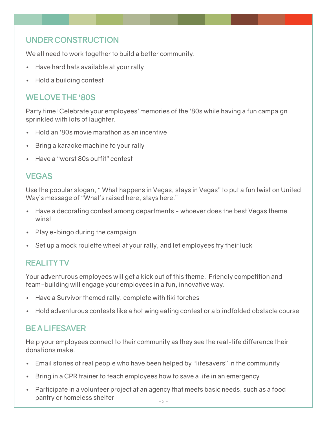#### **UNDER CONSTRUCTION**

We all need to work together to build a better community.

- Have hard hats available at your rally
- **Hold a building contest**

#### **WE LOVE THE '80S**

Party time! Celebrate your employees' memories of the '80s while having a fun campaign sprinkled with lots of laughter.

- Hold an '80s movie marathon as an incentive
- Bring a karaoke machine to your rally
- Have a "worst 80s outfit" contest

#### **VEGAS**

Use the popular slogan, " What happens in Vegas, stays in Vegas" to put a fun twist on United Way's message of "What's raised here, stays here."

- Have a decorating contest among departments whoever does the best Vegas theme wins!
- Play e-bingo during the campaign
- Set up a mock roulette wheel at your rally, and let employees try their luck

#### **REALITY TV**

Your adventurous employees will get a kick out of this theme. Friendly competition and team-building will engage your employees in a fun, innovative way.

- Have a Survivor themed rally, complete with tiki torches
- • Hold adventurous contests like a hot wing eating contest or a blindfolded obstacle course

#### **BE A LIFESAVER**

Help your employees connect to their community as they see the real-life difference their donations make.

- Email stories of real people who have been helped by "lifesavers" in the community
- Bring in a CPR trainer to teach employees how to save a life in an emergency
- Participate in a volunteer project at an agency that meets basic needs, such as a food pantry or homeless shelter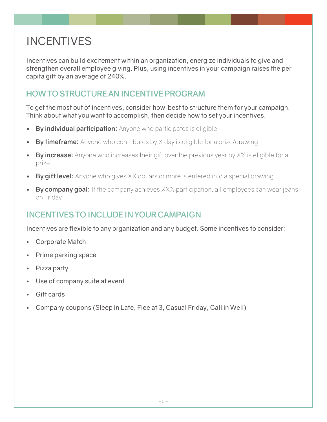## INCENTIVES

Incentives can build excitement within an organization, energize individuals to give and strengthen overall employee giving. Plus, using incentives in your campaign raises the per capita gift by an average of 240%.

#### **HOW TO STRUCTURE AN INCENTIVE PROGRAM**

To get the most out of incentives, consider how best to structure them for your campaign. Think about what you want to accomplish, then decide how to set your incentives,

- **By individual participation:** Anyone who participates is eligible
- **By timeframe:** Anyone who contributes by X day is eligible for a prize/drawing
- **By increase:** Anyone who increases their gift over the previous year by X% is eligible for a prize
- **By gift level:** Anyone who gives XX dollars or more is entered into a special drawing
- **By company goal:** If the company achieves XX% participation, all employees can wear jeans on Friday

#### **INCENTIVES TO INCLUDE IN YOUR CAMPAIGN**

Incentives are flexible to any organization and any budget. Some incentives to consider:

- • Corporate Match
- **Prime parking space**
- Pizza party
- Use of company suite at event
- Gift cards
- Company coupons (Sleep in Late, Flee at 3, Casual Friday, Call in Well)